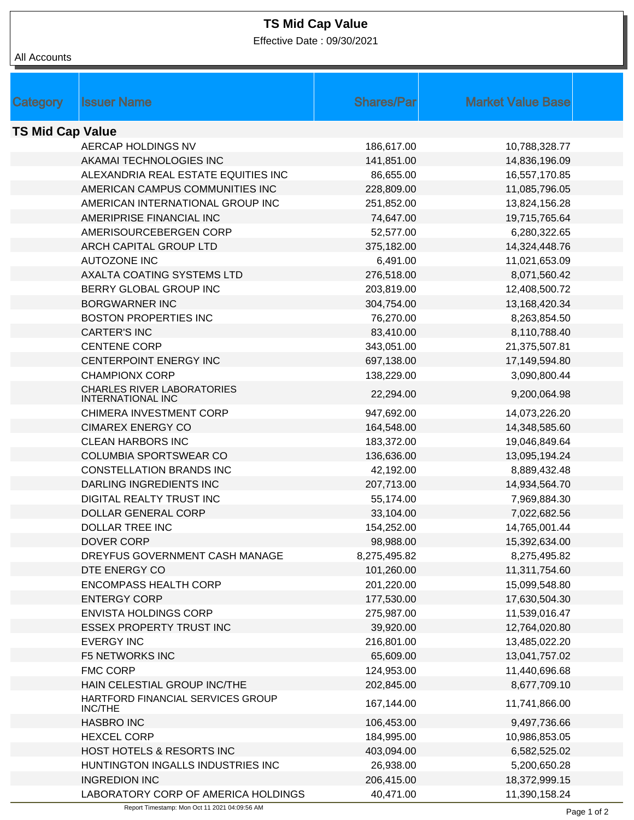## **TS Mid Cap Value**

Effective Date : 09/30/2021

| All Accounts            |                                                               |                   |                          |
|-------------------------|---------------------------------------------------------------|-------------------|--------------------------|
|                         |                                                               |                   |                          |
|                         |                                                               |                   |                          |
| Category                | <b>Issuer Name</b>                                            | <b>Shares/Par</b> | <b>Market Value Base</b> |
|                         |                                                               |                   |                          |
| <b>TS Mid Cap Value</b> |                                                               |                   |                          |
|                         | AERCAP HOLDINGS NV                                            | 186,617.00        | 10,788,328.77            |
|                         | AKAMAI TECHNOLOGIES INC                                       | 141,851.00        | 14,836,196.09            |
|                         | ALEXANDRIA REAL ESTATE EQUITIES INC                           | 86,655.00         | 16,557,170.85            |
|                         | AMERICAN CAMPUS COMMUNITIES INC                               | 228,809.00        | 11,085,796.05            |
|                         | AMERICAN INTERNATIONAL GROUP INC                              | 251,852.00        | 13,824,156.28            |
|                         | AMERIPRISE FINANCIAL INC                                      | 74,647.00         | 19,715,765.64            |
|                         | AMERISOURCEBERGEN CORP                                        | 52,577.00         | 6,280,322.65             |
|                         | ARCH CAPITAL GROUP LTD                                        | 375,182.00        | 14,324,448.76            |
|                         | <b>AUTOZONE INC</b>                                           | 6,491.00          | 11,021,653.09            |
|                         | AXALTA COATING SYSTEMS LTD                                    | 276,518.00        | 8,071,560.42             |
|                         | BERRY GLOBAL GROUP INC                                        | 203,819.00        | 12,408,500.72            |
|                         | <b>BORGWARNER INC</b>                                         | 304,754.00        | 13,168,420.34            |
|                         | <b>BOSTON PROPERTIES INC</b>                                  | 76,270.00         | 8,263,854.50             |
|                         | <b>CARTER'S INC</b>                                           | 83,410.00         | 8,110,788.40             |
|                         | <b>CENTENE CORP</b>                                           | 343,051.00        | 21,375,507.81            |
|                         | CENTERPOINT ENERGY INC                                        | 697,138.00        | 17,149,594.80            |
|                         | <b>CHAMPIONX CORP</b>                                         | 138,229.00        | 3,090,800.44             |
|                         | <b>CHARLES RIVER LABORATORIES</b><br><b>INTERNATIONAL INC</b> | 22,294.00         | 9,200,064.98             |
|                         | CHIMERA INVESTMENT CORP                                       | 947,692.00        | 14,073,226.20            |
|                         | <b>CIMAREX ENERGY CO</b>                                      | 164,548.00        | 14,348,585.60            |
|                         | <b>CLEAN HARBORS INC</b>                                      | 183,372.00        | 19,046,849.64            |
|                         | COLUMBIA SPORTSWEAR CO                                        | 136,636.00        | 13,095,194.24            |
|                         | <b>CONSTELLATION BRANDS INC</b>                               | 42,192.00         | 8,889,432.48             |
|                         | DARLING INGREDIENTS INC                                       | 207,713.00        | 14,934,564.70            |
|                         | DIGITAL REALTY TRUST INC                                      | 55,174.00         | 7,969,884.30             |
|                         | <b>DOLLAR GENERAL CORP</b>                                    | 33,104.00         | 7,022,682.56             |
|                         | <b>DOLLAR TREE INC</b>                                        | 154,252.00        | 14,765,001.44            |
|                         | DOVER CORP                                                    | 98,988.00         | 15,392,634.00            |
|                         | DREYFUS GOVERNMENT CASH MANAGE                                | 8,275,495.82      | 8,275,495.82             |
|                         | DTE ENERGY CO                                                 | 101,260.00        | 11,311,754.60            |
|                         | <b>ENCOMPASS HEALTH CORP</b>                                  | 201,220.00        | 15,099,548.80            |
|                         | <b>ENTERGY CORP</b>                                           | 177,530.00        | 17,630,504.30            |
|                         | ENVISTA HOLDINGS CORP                                         | 275,987.00        | 11,539,016.47            |
|                         | <b>ESSEX PROPERTY TRUST INC</b>                               | 39,920.00         | 12,764,020.80            |
|                         | <b>EVERGY INC</b>                                             | 216,801.00        | 13,485,022.20            |
|                         | <b>F5 NETWORKS INC</b>                                        | 65,609.00         | 13,041,757.02            |
|                         | <b>FMC CORP</b>                                               | 124,953.00        | 11,440,696.68            |
|                         | HAIN CELESTIAL GROUP INC/THE                                  | 202,845.00        | 8,677,709.10             |
|                         | HARTFORD FINANCIAL SERVICES GROUP<br>INC/THE                  | 167,144.00        | 11,741,866.00            |
|                         | <b>HASBRO INC</b>                                             | 106,453.00        | 9,497,736.66             |
|                         | <b>HEXCEL CORP</b>                                            | 184,995.00        | 10,986,853.05            |
|                         | HOST HOTELS & RESORTS INC                                     | 403,094.00        | 6,582,525.02             |
|                         | HUNTINGTON INGALLS INDUSTRIES INC                             | 26,938.00         | 5,200,650.28             |
|                         | <b>INGREDION INC</b>                                          | 206,415.00        | 18,372,999.15            |
|                         | LABORATORY CORP OF AMERICA HOLDINGS                           | 40,471.00         | 11,390,158.24            |